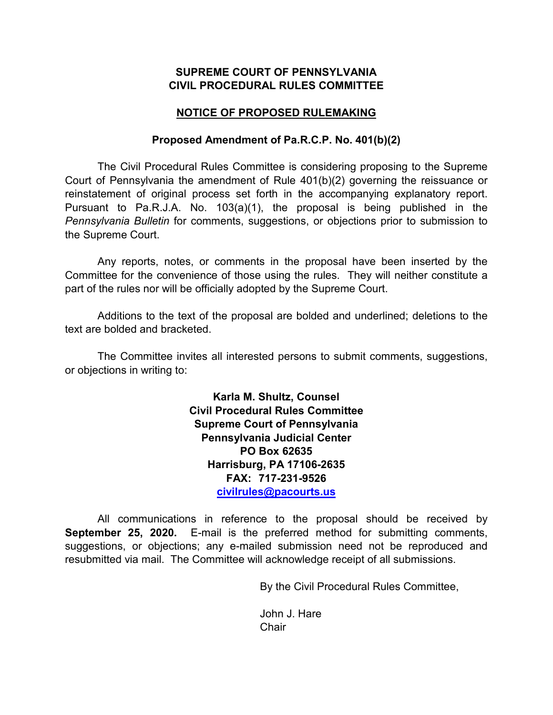## **SUPREME COURT OF PENNSYLVANIA CIVIL PROCEDURAL RULES COMMITTEE**

## **NOTICE OF PROPOSED RULEMAKING**

## **Proposed Amendment of Pa.R.C.P. No. 401(b)(2)**

The Civil Procedural Rules Committee is considering proposing to the Supreme Court of Pennsylvania the amendment of Rule 401(b)(2) governing the reissuance or reinstatement of original process set forth in the accompanying explanatory report. Pursuant to Pa.R.J.A. No. 103(a)(1), the proposal is being published in the *Pennsylvania Bulletin* for comments, suggestions, or objections prior to submission to the Supreme Court.

Any reports, notes, or comments in the proposal have been inserted by the Committee for the convenience of those using the rules. They will neither constitute a part of the rules nor will be officially adopted by the Supreme Court.

Additions to the text of the proposal are bolded and underlined; deletions to the text are bolded and bracketed.

The Committee invites all interested persons to submit comments, suggestions, or objections in writing to:

> **Karla M. Shultz, Counsel Civil Procedural Rules Committee Supreme Court of Pennsylvania Pennsylvania Judicial Center PO Box 62635 Harrisburg, PA 17106-2635 FAX: 717-231-9526 [civilrules@pacourts.us](mailto:civilrules@pacourts.us)**

All communications in reference to the proposal should be received by **September 25, 2020.** E-mail is the preferred method for submitting comments, suggestions, or objections; any e-mailed submission need not be reproduced and resubmitted via mail. The Committee will acknowledge receipt of all submissions.

By the Civil Procedural Rules Committee,

John J. Hare **Chair**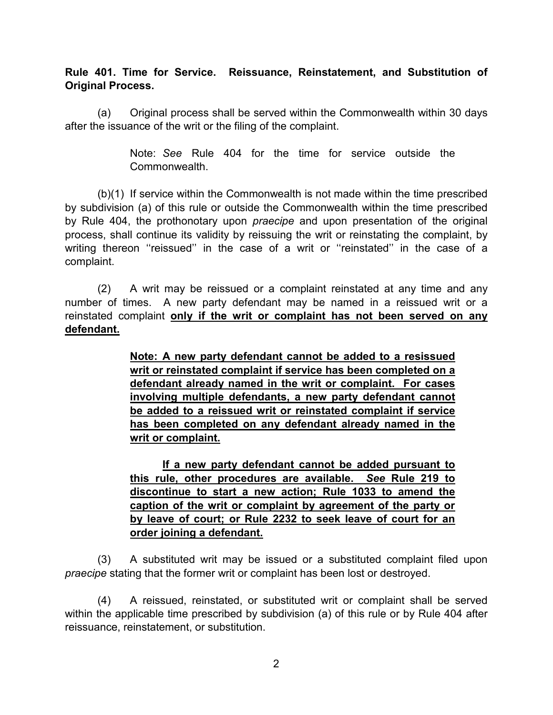**Rule 401. Time for Service. Reissuance, Reinstatement, and Substitution of Original Process.**

(a) Original process shall be served within the Commonwealth within 30 days after the issuance of the writ or the filing of the complaint.

> Note: *See* Rule 404 for the time for service outside the Commonwealth.

(b)(1) If service within the Commonwealth is not made within the time prescribed by subdivision (a) of this rule or outside the Commonwealth within the time prescribed by Rule 404, the prothonotary upon *praecipe* and upon presentation of the original process, shall continue its validity by reissuing the writ or reinstating the complaint, by writing thereon "reissued" in the case of a writ or "reinstated" in the case of a complaint.

 (2) A writ may be reissued or a complaint reinstated at any time and any number of times. A new party defendant may be named in a reissued writ or a reinstated complaint **only if the writ or complaint has not been served on any defendant.**

> **Note: A new party defendant cannot be added to a resissued writ or reinstated complaint if service has been completed on a defendant already named in the writ or complaint. For cases involving multiple defendants, a new party defendant cannot be added to a reissued writ or reinstated complaint if service has been completed on any defendant already named in the writ or complaint.**

> **If a new party defendant cannot be added pursuant to this rule, other procedures are available.** *See* **Rule 219 to discontinue to start a new action; Rule 1033 to amend the caption of the writ or complaint by agreement of the party or by leave of court; or Rule 2232 to seek leave of court for an order joining a defendant.**

 (3) A substituted writ may be issued or a substituted complaint filed upon *praecipe* stating that the former writ or complaint has been lost or destroyed.

 (4) A reissued, reinstated, or substituted writ or complaint shall be served within the applicable time prescribed by subdivision (a) of this rule or by Rule 404 after reissuance, reinstatement, or substitution.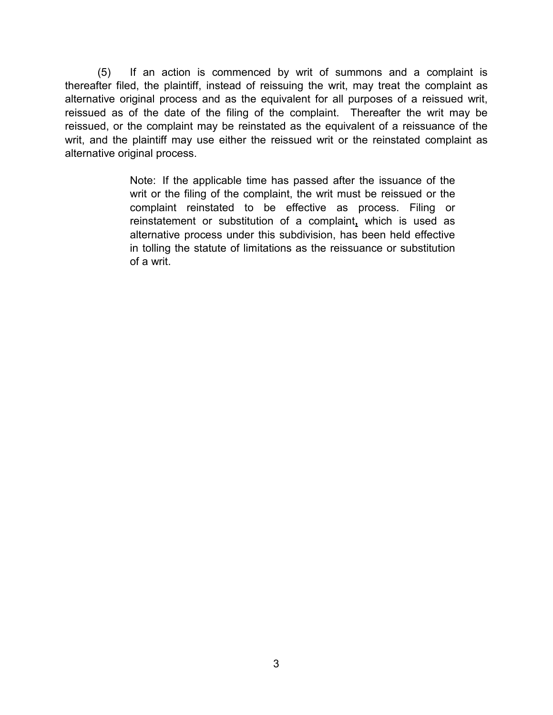(5) If an action is commenced by writ of summons and a complaint is thereafter filed, the plaintiff, instead of reissuing the writ, may treat the complaint as alternative original process and as the equivalent for all purposes of a reissued writ, reissued as of the date of the filing of the complaint. Thereafter the writ may be reissued, or the complaint may be reinstated as the equivalent of a reissuance of the writ, and the plaintiff may use either the reissued writ or the reinstated complaint as alternative original process.

> Note: If the applicable time has passed after the issuance of the writ or the filing of the complaint, the writ must be reissued or the complaint reinstated to be effective as process. Filing or reinstatement or substitution of a complaint**,** which is used as alternative process under this subdivision, has been held effective in tolling the statute of limitations as the reissuance or substitution of a writ.